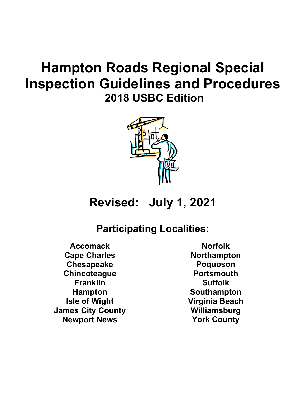# **Hampton Roads Regional Special Inspection Guidelines and Procedures 2018 USBC Edition**



## **Revised: July 1, 2021**

## **Participating Localities:**

**Accomack Cape Charles Chesapeake Chincoteague Franklin Hampton Isle of Wight James City County Newport News**

**Norfolk Northampton Poquoson Portsmouth Suffolk Southampton Virginia Beach Williamsburg York County**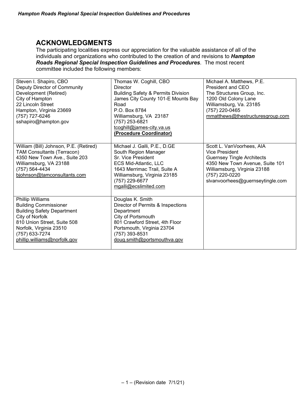## **ACKNOWLEDGMENTS**

The participating localities express our appreciation for the valuable assistance of all of the individuals and organizations who contributed to the creation of and revisions to *Hampton Roads Regional Special Inspection Guidelines and Procedures*. The most recent committee included the following members:

| Steven I. Shapiro, CBO<br>Deputy Director of Community                                                                                                                                                               | Thomas W. Coghill, CBO<br>Director                                                                                                                                                                                    | Michael A. Matthews, P.E.<br>President and CEO                                                                                                                                                                   |
|----------------------------------------------------------------------------------------------------------------------------------------------------------------------------------------------------------------------|-----------------------------------------------------------------------------------------------------------------------------------------------------------------------------------------------------------------------|------------------------------------------------------------------------------------------------------------------------------------------------------------------------------------------------------------------|
| Development (Retired)                                                                                                                                                                                                | <b>Building Safety &amp; Permits Division</b>                                                                                                                                                                         | The Structures Group, Inc.                                                                                                                                                                                       |
| City of Hampton<br>22 Lincoln Street                                                                                                                                                                                 | James City County 101-E Mounts Bay<br>Road                                                                                                                                                                            | 1200 Old Colony Lane<br>Williamsburg, Va. 23185                                                                                                                                                                  |
| Hampton, Virginia 23669                                                                                                                                                                                              | P.O. Box 8784                                                                                                                                                                                                         | (757) 220-0465                                                                                                                                                                                                   |
| (757) 727-6246                                                                                                                                                                                                       | Williamsburg, VA 23187                                                                                                                                                                                                | mmatthews@thestructuresgroup.com                                                                                                                                                                                 |
| sshapiro@hampton.gov                                                                                                                                                                                                 | (757) 253-6821                                                                                                                                                                                                        |                                                                                                                                                                                                                  |
|                                                                                                                                                                                                                      | tcoghill@james-city.va.us<br>(Procedure Coordinator)                                                                                                                                                                  |                                                                                                                                                                                                                  |
|                                                                                                                                                                                                                      |                                                                                                                                                                                                                       |                                                                                                                                                                                                                  |
| William (Bill) Johnson, P.E. (Retired)<br><b>TAM Consultants (Terracon)</b><br>4350 New Town Ave., Suite 203<br>Williamsburg, VA 23188<br>(757) 564-4434<br>bjohnson@tamconsultants.com                              | Michael J. Galli, P.E., D.GE<br>South Region Manager<br>Sr. Vice President<br><b>ECS Mid-Atlantic, LLC</b><br>1643 Merrimac Trail, Suite A<br>Williamsburg, Virginia 23185<br>(757) 229-6677<br>mgalli@ecslimited.com | Scott L. VanVoorhees, AIA<br><b>Vice President</b><br><b>Guernsey Tingle Architects</b><br>4350 New Town Avenue, Suite 101<br>Williamsburg, Virginia 23188<br>(757) 220-0220<br>slvanvoorhees@guernseytingle.com |
| Phillip Williams<br><b>Building Commissioner</b><br><b>Building Safety Department</b><br>City of Norfolk<br>810 Union Street, Suite 508<br>Norfolk, Virginia 23510<br>(757) 633-7274<br>phillip.williams@norfolk.gov | Douglas K. Smith<br>Director of Permits & Inspections<br>Department<br>City of Portsmouth<br>801 Crawford Street, 4th Floor<br>Portsmouth, Virginia 23704<br>(757) 393-8531<br>doug.smith@portsmouthva.gov            |                                                                                                                                                                                                                  |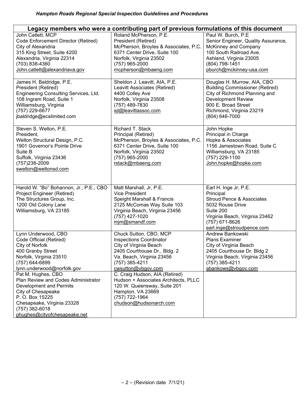| Legacy members who were a contributing part of previous formulations of this document                                                                                                                                                                                                  |                                                                                                                                                                                                                                                                                                                       |                                                                                                                                                                                                          |  |  |
|----------------------------------------------------------------------------------------------------------------------------------------------------------------------------------------------------------------------------------------------------------------------------------------|-----------------------------------------------------------------------------------------------------------------------------------------------------------------------------------------------------------------------------------------------------------------------------------------------------------------------|----------------------------------------------------------------------------------------------------------------------------------------------------------------------------------------------------------|--|--|
| John Catlett, MCP<br>Code Enforcement Director (Retired)<br>City of Alexandria<br>315 King Street, Suite 4200<br>Alexandria, Virginia 22314<br>(703) 838-4360<br>John.catlett@alexandriava.gov                                                                                         | Roland McPherson, P.E.<br>President (Retired)<br>McPherson, Broyles & Associates, P.C.<br>6371 Center Drive, Suite 100<br>Norfolk, Virginia 23502<br>(757) 965-2000<br>rncpherson@mbaeng.com                                                                                                                          | Paul W. Burch, P.E.<br>Senior Engineer, Quality Assurance,<br>McKinney and Company<br>100 South Railroad Ave.<br>Ashland, Virginia 23005<br>(804) 798-1451<br>pburch@mckinney-usa.com                    |  |  |
| James H. Baldridge, P.E.<br>President (Retired)<br>Engineering Consulting Services, Ltd.<br>108 Ingram Road, Suite 1<br>Williamsburg, Virginia<br>(757) 229-6677<br>jbaldridge@ecslimited.com                                                                                          | Sheldon J. Leavitt, AIA, P.E.<br>Leavitt Associates (Retired)<br>4400 Colley Ave<br>Norfolk, Virginia 23508<br>(757) 489-7830<br>sil@leavittassoc.com                                                                                                                                                                 | Douglas H. Murrow, AIA, CBO<br><b>Building Commissioner (Retired)</b><br>City of Richmond Planning and<br><b>Development Review</b><br>900 E. Broad Street<br>Richmond, Virginia 23219<br>(804) 646-7000 |  |  |
| Steven S. Welton, P.E.<br>President,<br>Welton Structural Design, P.C.<br>1901 Governor's Pointe Drive<br>Suite B<br>Suffolk, Virginia 23436<br>(757)238-2009<br>swelton@weltonsd.com                                                                                                  | Richard T. Stack<br>Principal (Retired)<br>McPherson, Broyles & Associates, P.C.<br>6371 Center Drive, Suite 100<br>Norfolk, Virginia 23502<br>(757) 965-2000<br>rstack@mbaeng.com                                                                                                                                    | John Hopke<br>Principal in Charge<br>Hopke & Associates<br>1156 Jamestown Road, Suite C<br>Williamsburg, VA 23185<br>(757) 229-1100<br>John.hopke@hopke.com                                              |  |  |
| Harold W. "Bo" Bohannon, Jr., P.E., CBO<br>Project Engineer (Retired)<br>The Structures Group, Inc.<br>1200 Old Colony Lane<br>Williamsburg, VA 23185                                                                                                                                  | Matt Marshall, Jr, P.E.<br><b>Vice President</b><br>Speight Marshall & Francis<br>2125 McComas Way Suite 103<br>Virginia Beach, Virginia 23456<br>(757) 427-1020<br>mim@smandf.com                                                                                                                                    | Earl H. Inge Jr, P.E.<br>Principal<br><b>Stroud Pence &amp; Associates</b><br>5032 Rouse Drive<br>Suite 200<br>Virginia Beach, Virginia 23462<br>(757) 671-8626<br>earl.inge@stroudpence.com             |  |  |
| Lynn Underwood, CBO<br>Code Official (Retired)<br>City of Norfolk<br>400 Granby Street<br>Norfolk, Virginia 23510<br>(757) 644-6899<br>lynn.underwood@norfolk.gov<br>Pat M. Hughes, CBO<br>Plan Review and Codes Administrator<br><b>Development and Permits</b><br>City of Chesapeake | Chuck Sutton, CBO, MCP<br><b>Inspections Coordinator</b><br>City of Virginia Beach<br>2405 Courthouse Dr., Bldg. 2<br>Va. Beach, Virginia 23456<br>(757) 385-4211<br>cwsutton@vbgov.com<br>C. Craig Hudson, AIA (Retired)<br>Hudson + Associates Architects, PLLC<br>120 W. Queensway, Suite 201<br>Hampton, VA 23669 | Andrew Bankowski<br><b>Plans Examiner</b><br>City of Virginia Beach<br>2405 Courthouse Dr. Bldg 2<br>Virginia Beach, Virginia 23456<br>(757) 385-4211<br>abankows@vbgov.com                              |  |  |
| P. O. Box 15225<br>Chesapeake, Virginia 23328<br>$(757)$ 382-6018<br>phughes@cityofchesapeake.net                                                                                                                                                                                      | (757) 722-1964<br>chudson@hudsonarch.com                                                                                                                                                                                                                                                                              |                                                                                                                                                                                                          |  |  |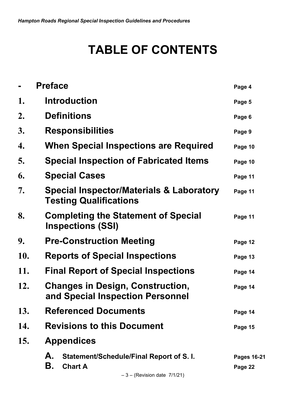# **TABLE OF CONTENTS**

|     | <b>Preface</b>                                                                                            | Page 4                        |
|-----|-----------------------------------------------------------------------------------------------------------|-------------------------------|
| 1.  | <b>Introduction</b>                                                                                       | Page 5                        |
| 2.  | <b>Definitions</b>                                                                                        | Page 6                        |
| 3.  | <b>Responsibilities</b>                                                                                   | Page 9                        |
| 4.  | When Special Inspections are Required                                                                     | Page 10                       |
| 5.  | <b>Special Inspection of Fabricated Items</b>                                                             | Page 10                       |
| 6.  | <b>Special Cases</b>                                                                                      | Page 11                       |
| 7.  | <b>Special Inspector/Materials &amp; Laboratory</b><br><b>Testing Qualifications</b>                      | Page 11                       |
| 8.  | <b>Completing the Statement of Special</b><br><b>Inspections (SSI)</b>                                    | Page 11                       |
| 9.  | <b>Pre-Construction Meeting</b>                                                                           | Page 12                       |
| 10. | <b>Reports of Special Inspections</b>                                                                     | Page 13                       |
| 11. | <b>Final Report of Special Inspections</b>                                                                | Page 14                       |
| 12. | <b>Changes in Design, Construction,</b><br>and Special Inspection Personnel                               | Page 14                       |
| 13. | <b>Referenced Documents</b>                                                                               | Page 14                       |
| 14. | <b>Revisions to this Document</b>                                                                         | Page 15                       |
| 15. | <b>Appendices</b>                                                                                         |                               |
|     | А.<br>Statement/Schedule/Final Report of S.I.<br>В.<br><b>Chart A</b><br>$-3 -$ (Revision date $7/1/21$ ) | <b>Pages 16-21</b><br>Page 22 |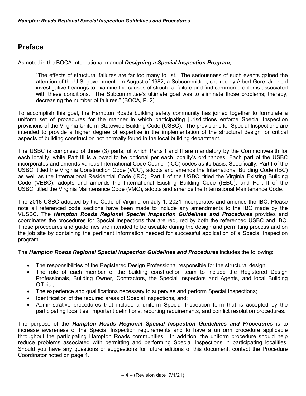## **Preface**

As noted in the BOCA International manual *Designing a Special Inspection Program*,

"The effects of structural failures are far too many to list. The seriousness of such events gained the attention of the U.S. government. In August of 1982, a Subcommittee, chaired by Albert Gore, Jr., held investigative hearings to examine the causes of structural failure and find common problems associated with these conditions. The Subcommittee's ultimate goal was to eliminate those problems; thereby, decreasing the number of failures." (BOCA, P. 2)

To accomplish this goal, the Hampton Roads building safety community has joined together to formulate a uniform set of procedures for the manner in which participating jurisdictions enforce Special Inspection provisions of the Virginia Uniform Statewide Building Code (USBC). The provisions for Special Inspections are intended to provide a higher degree of expertise in the implementation of the structural design for critical aspects of building construction not normally found in the local building department.

The USBC is comprised of three (3) parts, of which Parts I and II are mandatory by the Commonwealth for each locality, while Part III is allowed to be optional per each locality's ordinances. Each part of the USBC incorporates and amends various International Code Council (ICC) codes as its basis. Specifically, Part I of the USBC, titled the Virginia Construction Code (VCC), adopts and amends the International Building Code (IBC) as well as the International Residential Code (IRC), Part II of the USBC, titled the Virginia Existing Building Code (VEBC), adopts and amends the International Existing Building Code (IEBC), and Part III of the USBC, titled the Virginia Maintenance Code (VMC), adopts and amends the International Maintenance Code.

The 2018 USBC adopted by the Code of Virginia on July 1, 2021 incorporates and amends the IBC. Please note all referenced code sections have been made to include any amendments to the IBC made by the VUSBC. The *Hampton Roads Regional Special Inspection Guidelines and Procedures* provides and coordinates the procedures for Special Inspections that are required by both the referenced USBC and IBC. These procedures and guidelines are intended to be useable during the design and permitting process and on the job site by containing the pertinent information needed for successful application of a Special Inspection program.

#### The *Hampton Roads Regional Special Inspection Guidelines and Procedures* includes the following:

- The responsibilities of the Registered Design Professional responsible for the structural design;
- The role of each member of the building construction team to include the Registered Design Professionals, Building Owner, Contractors, the Special Inspectors and Agents, and local Building Official;
- The experience and qualifications necessary to supervise and perform Special Inspections;
- Identification of the required areas of Special Inspections, and;
- Administrative procedures that include a uniform Special Inspection form that is accepted by the participating localities, important definitions, reporting requirements, and conflict resolution procedures.

The purpose of the *Hampton Roads Regional Special Inspection Guidelines and Procedures* is to increase awareness of the Special Inspection requirements and to have a uniform procedure applicable throughout the participating Hampton Roads communities. In addition, the uniform procedure should help reduce problems associated with permitting and performing Special Inspections in participating localities. Should you have any questions or suggestions for future editions of this document, contact the Procedure Coordinator noted on page 1.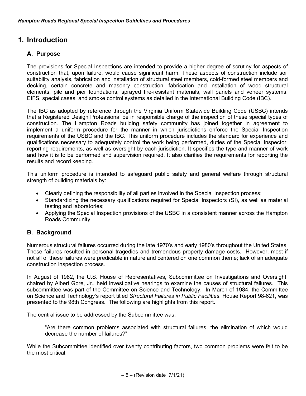## **1. Introduction**

#### **A. Purpose**

The provisions for Special Inspections are intended to provide a higher degree of scrutiny for aspects of construction that, upon failure, would cause significant harm. These aspects of construction include soil suitability analysis, fabrication and installation of structural steel members, cold-formed steel members and decking, certain concrete and masonry construction, fabrication and installation of wood structural elements, pile and pier foundations, sprayed fire-resistant materials, wall panels and veneer systems, EIFS, special cases, and smoke control systems as detailed in the International Building Code (IBC).

The IBC as adopted by reference through the Virginia Uniform Statewide Building Code (USBC) intends that a Registered Design Professional be in responsible charge of the inspection of these special types of construction. The Hampton Roads building safety community has joined together in agreement to implement a uniform procedure for the manner in which jurisdictions enforce the Special Inspection requirements of the USBC and the IBC. This uniform procedure includes the standard for experience and qualifications necessary to adequately control the work being performed, duties of the Special Inspector, reporting requirements, as well as oversight by each jurisdiction. It specifies the type and manner of work and how it is to be performed and supervision required. It also clarifies the requirements for reporting the results and record keeping.

This uniform procedure is intended to safeguard public safety and general welfare through structural strength of building materials by:

- Clearly defining the responsibility of all parties involved in the Special Inspection process;
- Standardizing the necessary qualifications required for Special Inspectors (SI), as well as material testing and laboratories;
- Applying the Special Inspection provisions of the USBC in a consistent manner across the Hampton Roads Community.

#### **B. Background**

Numerous structural failures occurred during the late 1970's and early 1980's throughout the United States. These failures resulted in personal tragedies and tremendous property damage costs. However, most if not all of these failures were predicable in nature and centered on one common theme; lack of an adequate construction inspection process.

In August of 1982, the U.S. House of Representatives, Subcommittee on Investigations and Oversight, chaired by Albert Gore, Jr., held investigative hearings to examine the causes of structural failures. This subcommittee was part of the Committee on Science and Technology. In March of 1984, the Committee on Science and Technology's report titled *Structural Failures in Public Facilities*, House Report 98-621, was presented to the 98th Congress. The following are highlights from this report.

The central issue to be addressed by the Subcommittee was:

"Are there common problems associated with structural failures, the elimination of which would decrease the number of failures?"

While the Subcommittee identified over twenty contributing factors, two common problems were felt to be the most critical: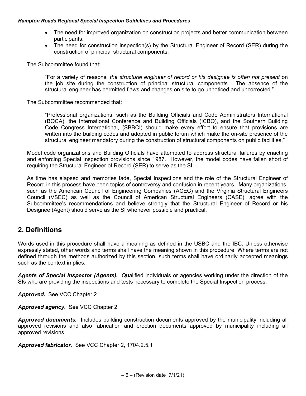- The need for improved organization on construction projects and better communication between participants.
- The need for construction inspection(s) by the Structural Engineer of Record (SER) during the construction of principal structural components.

The Subcommittee found that:

"For a variety of reasons, *the structural engineer of record or his designee is often not present* on the job site during the construction of principal structural components. The absence of the structural engineer has permitted flaws and changes on site to go unnoticed and uncorrected."

The Subcommittee recommended that:

"Professional organizations, such as the Building Officials and Code Administrators International (BOCA), the International Conference and Building Officials (ICBO), and the Southern Building Code Congress International, (SBBCI) should make every effort to ensure that provisions are written into the building codes and adopted in public forum which make the on-site presence of the structural engineer mandatory during the construction of structural components on public facilities."

Model code organizations and Building Officials have attempted to address structural failures by enacting and enforcing Special Inspection provisions since 1987. However, the model codes have fallen short of requiring the Structural Engineer of Record (SER) to serve as the SI.

As time has elapsed and memories fade, Special Inspections and the role of the Structural Engineer of Record in this process have been topics of controversy and confusion in recent years. Many organizations, such as the American Council of Engineering Companies (ACEC) and the Virginia Structural Engineers Council (VSEC) as well as the Council of American Structural Engineers (CASE), agree with the Subcommittee's recommendations and believe strongly that the Structural Engineer of Record or his Designee (Agent) should serve as the SI whenever possible and practical.

## **2. Definitions**

Words used in this procedure shall have a meaning as defined in the USBC and the IBC. Unless otherwise expressly stated, other words and terms shall have the meaning shown in this procedure. Where terms are not defined through the methods authorized by this section, such terms shall have ordinarily accepted meanings such as the context implies.

*Agents of Special Inspector (Agents).* Qualified individuals or agencies working under the direction of the SIs who are providing the inspections and tests necessary to complete the Special Inspection process.

*Approved.* See VCC Chapter 2

*Approved agency.*See VCC Chapter 2

*Approved documents.* Includes building construction documents approved by the municipality including all approved revisions and also fabrication and erection documents approved by municipality including all approved revisions.

*Approved fabricator.* See VCC Chapter 2, 1704.2.5.1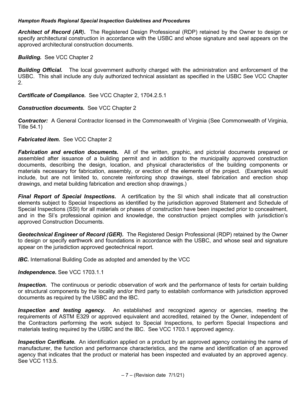*Architect of Record (AR).* The Registered Design Professional (RDP) retained by the Owner to design or specify architectural construction in accordance with the USBC and whose signature and seal appears on the approved architectural construction documents.

#### *Building.* See VCC Chapter 2

*Building Official.* The local government authority charged with the administration and enforcement of the USBC. This shall include any duly authorized technical assistant as specified in the USBC See VCC Chapter 2.

*Certificate of Compliance.* See VCC Chapter 2, 1704.2.5.1

#### *Construction documents.* See VCC Chapter 2

*Contractor:*A General Contractor licensed in the Commonwealth of Virginia (See Commonwealth of Virginia, Title 54.1)

#### *Fabricated item.* See VCC Chapter 2

**Fabrication and erection documents.** All of the written, graphic, and pictorial documents prepared or assembled after issuance of a building permit and in addition to the municipality approved construction documents, describing the design, location, and physical characteristics of the building components or materials necessary for fabrication, assembly, or erection of the elements of the project. (Examples would include, but are not limited to, concrete reinforcing shop drawings, steel fabrication and erection shop drawings, and metal building fabrication and erection shop drawings.)

*Final Report of Special Inspections***.** A certification by the SI which shall indicate that all construction elements subject to Special Inspections as identified by the jurisdiction approved Statement and Schedule of Special Inspections (SSI) for all materials or phases of construction have been inspected prior to concealment, and in the SI's professional opinion and knowledge, the construction project complies with jurisdiction's approved Construction Documents.

*Geotechnical Engineer of Record (GER).* The Registered Design Professional (RDP) retained by the Owner to design or specify earthwork and foundations in accordance with the USBC, and whose seal and signature appear on the jurisdiction approved geotechnical report.

**IBC.** International Building Code as adopted and amended by the VCC

#### *Independence***.** See VCC 1703.1.1

*Inspection.* The continuous or periodic observation of work and the performance of tests for certain building or structural components by the locality and/or third party to establish conformance with jurisdiction approved documents as required by the USBC and the IBC.

**Inspection and testing agency.** An established and recognized agency or agencies, meeting the requirements of ASTM E329 or approved equivalent and accredited, retained by the Owner, independent of the Contractors performing the work subject to Special Inspections, to perform Special Inspections and materials testing required by the USBC and the IBC. See VCC 1703.1 approved agency.

*Inspection Certificate.*An identification applied on a product by an approved agency containing the name of manufacturer, the function and performance characteristics, and the name and identification of an approved agency that indicates that the product or material has been inspected and evaluated by an approved agency. See VCC 113.5.

 $-7 -$  (Revision date  $7/1/21$ )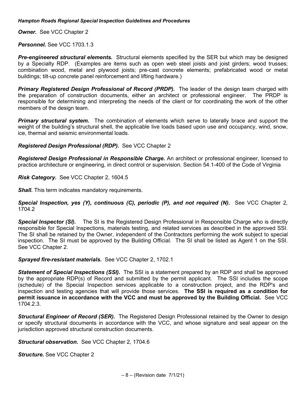*Owner.* See VCC Chapter 2

Personnel. See VCC 1703.1.3

**Pre-engineered structural elements.** Structural elements specified by the SER but which may be designed by a Specialty RDP. (Examples are items such as open web steel joists and joist girders; wood trusses; combination wood, metal and plywood joists; pre-cast concrete elements; prefabricated wood or metal buildings; tilt-up concrete panel reinforcement and lifting hardware.)

**Primary Registered Design Professional of Record (PRDP).** The leader of the design team charged with the preparation of construction documents, either an architect or professional engineer. The PRDP is responsible for determining and interpreting the needs of the client or for coordinating the work of the other members of the design team.

**Primary structural system.** The combination of elements which serve to laterally brace and support the weight of the building's structural shell, the applicable live loads based upon use and occupancy, wind, snow, ice, thermal and seismic environmental loads.

*Registered Design Professional (RDP).*See VCC Chapter 2

*Registered Design Professional in Responsible Charge***.** An architect or professional engineer, licensed to practice architecture or engineering, in direct control or supervision. Section 54.1-400 of the Code of Virginia

*Risk Category.* See VCC Chapter 2, 1604.5

*Shall.* This term indicates mandatory requirements.

*Special Inspection, yes (Y), continuous (C), periodic (P), and not required (N)***.** See VCC Chapter 2, 1704.2

**Special Inspector (SI).** The SI is the Registered Design Professional in Responsible Charge who is directly responsible for Special Inspections, materials testing, and related services as described in the approved SSI. The SI shall be retained by the Owner, independent of the Contractors performing the work subject to special inspection. The SI must be approved by the Building Official. The SI shall be listed as Agent 1 on the SSI. See VCC Chapter 2.

#### *Sprayed fire-resistant materials.* See VCC Chapter 2, 1702.1

*Statement of Special Inspections (SSI).*The SSI is a statement prepared by an RDP and shall be approved by the appropriate RDP(s) of Record and submitted by the permit applicant. The SSI includes the scope (schedule) of the Special Inspection services applicable to a construction project, and the RDP's and inspection and testing agencies that will provide those services. **The SSI is required as a condition for permit issuance in accordance with the VCC and must be approved by the Building Official.** See VCC 1704.2.3.

*Structural Engineer of Record (SER).* The Registered Design Professional retained by the Owner to design or specify structural documents in accordance with the VCC, and whose signature and seal appear on the jurisdiction approved structural construction documents.

*Structural observation***.** See VCC Chapter 2, 1704.6

*Structure***.** See VCC Chapter 2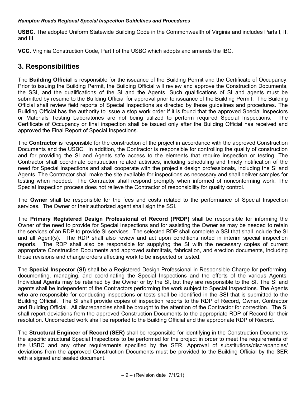**USBC.** The adopted Uniform Statewide Building Code in the Commonwealth of Virginia and includes Parts I, II, and III.

**VCC.** Virginia Construction Code, Part I of the USBC which adopts and amends the IBC.

## **3. Responsibilities**

The **Building Official** is responsible for the issuance of the Building Permit and the Certificate of Occupancy. Prior to issuing the Building Permit, the Building Official will review and approve the Construction Documents, the SSI, and the qualifications of the SI and the Agents. Such qualifications of SI and agents must be submitted by resume to the Building Official for approval prior to issuance of the Building Permit. The Building Official shall review field reports of Special Inspections as directed by these guidelines and procedures. The Building Official has the authority to issue a stop work order if it is found that the approved Special Inspectors or Materials Testing Laboratories are not being utilized to perform required Special Inspections. The Certificate of Occupancy or final inspection shall be issued only after the Building Official has received and approved the Final Report of Special Inspections.

The **Contractor** is responsible for the construction of the project in accordance with the approved Construction Documents and the USBC. In addition, the Contractor is responsible for controlling the quality of construction and for providing the SI and Agents safe access to the elements that require inspection or testing. The Contractor shall coordinate construction related activities, including scheduling and timely notification of the need for Special Inspections and shall cooperate with the project's design professionals, including the SI and Agents. The Contractor shall make the site available for inspections as necessary and shall deliver samples for testing when needed. The Contractor shall respond promptly when informed of nonconforming work. The Special Inspection process does not relieve the Contractor of responsibility for quality control.

The **Owner** shall be responsible for the fees and costs related to the performance of Special Inspection services. The Owner or their authorized agent shall sign the SSI.

The **Primary Registered Design Professional of Record (PRDP)** shall be responsible for informing the Owner of the need to provide for Special Inspections and for assisting the Owner as may be needed to retain the services of an RDP to provide SI services. The selected RDP shall complete a SSI that shall include the SI and all Agent(s). The RDP shall also review and act upon conditions noted in interim special inspection reports.The RDP shall also be responsible for supplying the SI with the necessary copies of current appropriate Construction Documents and approved submittals, fabrication, and erection documents, including those revisions and change orders affecting work to be inspected or tested.

The **Special Inspector (SI)** shall be a Registered Design Professional in Responsible Charge for performing, documenting, managing, and coordinating the Special Inspections and the efforts of the various Agents. Individual Agents may be retained by the Owner or by the SI, but they are responsible to the SI. The SI and agents shall be independent of the Contractors performing the work subject to Special Inspections. The Agents who are responsible for conducting inspections or tests shall be identified in the SSI that is submitted to the Building Official. The SI shall provide copies of inspection reports to the RDP of Record, Owner, Contractor and Building Official. All discrepancies shall be brought to the attention of the Contractor for correction. The SI shall report deviations from the approved Construction Documents to the appropriate RDP of Record for their resolution. Uncorrected work shall be reported to the Building Official and the appropriate RDP of Record.

The **Structural Engineer of Record (SER)** shall be responsible for identifying in the Construction Documents the specific structural Special Inspections to be performed for the project in order to meet the requirements of the USBC and any other requirements specified by the SER. Approval of substitutions/discrepancies/ deviations from the approved Construction Documents must be provided to the Building Official by the SER with a signed and sealed document.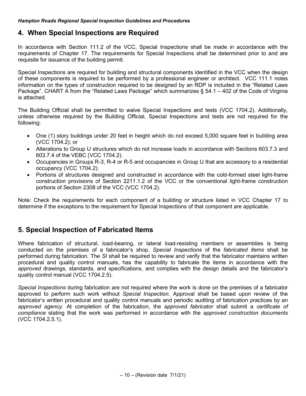## **4. When Special Inspections are Required**

In accordance with Section 111.2 of the VCC, Special Inspections shall be made in accordance with the requirements of Chapter 17. The requirements for Special Inspections shall be determined prior to and are requisite for issuance of the building permit.

Special Inspections are required for building and structural components identified in the VCC when the design of these components is required to be performed by a professional engineer or architect. VCC 111.1 notes information on the types of construction required to be designed by an RDP is included in the "Related Laws Package". CHART A from the "Related Laws Package" which summarizes § 54.1 – 402 of the Code of Virginia is attached.

The Building Official shall be permitted to waive Special Inspections and tests (VCC 1704.2). Additionally, unless otherwise required by the Building Official, Special Inspections and tests are not required for the following:

- One (1) story buildings under 20 feet in height which do not exceed 5,000 square feet in building area (VCC 1704.2); or
- Alterations to Group U structures which do not increase loads in accordance with Sections 603.7.3 and 603.7.4 of the VEBC (VCC 1704.2).
- Occupancies in Groups R-3, R-4 or R-5 and occupancies in Group U that are accessory to a residential occupancy (VCC 1704.2).
- Portions of structures designed and constructed in accordance with the cold-formed steel light-frame construction provisions of Section 2211.1.2 of the VCC or the conventional light-frame construction portions of Section 2308 of the VCC (VCC 1704.2).

Note: Check the requirements for each component of a building or structure listed in VCC Chapter 17 to determine if the exceptions to the requirement for Special Inspections of that component are applicable.

## **5. Special Inspection of Fabricated Items**

Where fabrication of structural, load-bearing, or lateral load-resisting members or assemblies is being conducted on the premises of a fabricator's shop, *Special Inspections* of the *fabricated items* shall be performed during fabrication. The *SI* shall be required to review and verify that the fabricator maintains written procedural and quality control manuals, has the capability to fabricate the items in accordance with the *approved* drawings, standards, and specifications, and complies with the design details and the fabricator's quality control manual (VCC 1704.2.5).

*Special Inspections* during fabrication are not required where the work is done on the premises of a fabricator approved to perform such work without *Special Inspection*. Approval shall be based upon review of the fabricator's written procedural and quality control manuals and periodic auditing of fabrication practices by an *approved agency*. At completion of the fabrication, the *approved fabricator* shall submit a *certificate of compliance* stating that the work was performed in accordance with the *approved construction documents* (VCC 1704.2.5.1).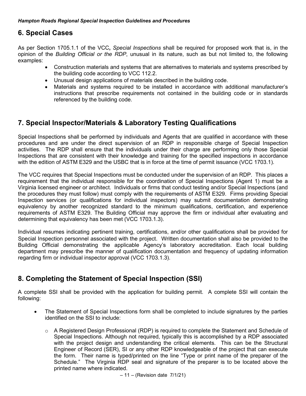## **6. Special Cases**

As per Section 1705.1.1 of the VCC**,** *Special Inspections* shall be required for proposed work that is, in the opinion of the *Building Official or the RDP*, unusual in its nature, such as but not limited to, the following examples:

- Construction materials and systems that are alternatives to materials and systems prescribed by the building code according to VCC 112.2.
- Unusual design applications of materials described in the building code.
- Materials and systems required to be installed in accordance with additional manufacturer's instructions that prescribe requirements not contained in the building code or in standards referenced by the building code.

## **7. Special Inspector/Materials & Laboratory Testing Qualifications**

Special Inspections shall be performed by individuals and Agents that are qualified in accordance with these procedures and are under the direct supervision of an RDP in responsible charge of Special Inspection activities. The RDP shall ensure that the individuals under their charge are performing only those Special Inspections that are consistent with their knowledge and training for the specified inspections in accordance with the edition of ASTM E329 and the USBC that is in force at the time of permit issuance (VCC 1703.1).

The VCC requires that Special Inspections must be conducted under the supervision of an RDP. This places a requirement that the individual responsible for the coordination of Special Inspections (Agent 1) must be a Virginia licensed engineer or architect. Individuals or firms that conduct testing and/or Special Inspections (and the procedures they must follow) must comply with the requirements of ASTM E329. Firms providing Special Inspection services (or qualifications for individual inspectors) may submit documentation demonstrating equivalency by another recognized standard to the minimum qualifications, certification, and experience requirements of ASTM E329. The Building Official may approve the firm or individual after evaluating and determining that equivalency has been met (VCC 1703.1.3).

Individual resumes indicating pertinent training, certifications, and/or other qualifications shall be provided for Special Inspection personnel associated with the project. Written documentation shall also be provided to the Building Official demonstrating the applicable Agency's laboratory accreditation. Each local building department may prescribe the manner of qualification documentation and frequency of updating information regarding firm or individual inspector approval (VCC 1703.1.3).

## **8. Completing the Statement of Special Inspection (SSI)**

A complete SSI shall be provided with the application for building permit. A complete SSI will contain the following:

- The Statement of Special Inspections form shall be completed to include signatures by the parties identified on the SSI to include:
	- o A Registered Design Professional (RDP) is required to complete the Statement and Schedule of Special Inspections. Although not required, typically this is accomplished by a RDP associated with the project design and understanding the critical elements. This can be the Structural Engineer of Record (SER), SI or any other RDP knowledgeable of the project that can execute the form. Their name is typed/printed on the line "Type or print name of the preparer of the Schedule." The Virginia RDP seal and signature of the preparer is to be located above the printed name where indicated.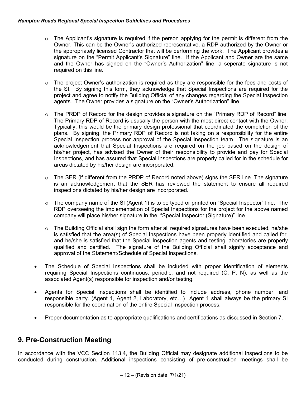- $\circ$  The Applicant's signature is required if the person applying for the permit is different from the Owner. This can be the Owner's authorized representative, a RDP authorized by the Owner or the appropriately licensed Contractor that will be performing the work. The Applicant provides a signature on the "Permit Applicant's Signature" line. If the Applicant and Owner are the same and the Owner has signed on the "Owner's Authorization" line, a seperate signature is not required on this line.
- o The project Owner's authorization is required as they are responsible for the fees and costs of the SI. By signing this form, they acknowledge that Special Inspections are required for the project and agree to notify the Building Official of any changes regarding the Special Inspection agents. The Owner provides a signature on the "Owner's Authorization" line.
- $\circ$  The PRDP of Record for the design provides a signature on the "Primary RDP of Record" line. The Primary RDP of Record is ususally the person with the most direct contact with the Owner. Typically, this would be the primary design professional that coordinated the completion of the plans. By signing, the Primary RDP of Record is not taking on a responsibility for the entire Special Inspection process nor approval of the Special Inspection team. The signature is an acknowledgement that Special Inspections are required on the job based on the design of his/her project, has advised the Owner of their responsibility to provide and pay for Special Inspections, and has assured that Special Inspections are properly called for in the schedule for areas dictated by his/her design are incorporated.
- $\circ$  The SER (if different from the PRDP of Record noted above) signs the SER line. The signature is an acknowledgement that the SER has reviewed the statement to ensure all required inspections dictated by his/her design are incorporated.
- $\circ$  The company name of the SI (Agent 1) is to be typed or printed on "Special Inspector" line. The RDP overseeing the implementation of Special Inspections for the project for the above named company will place his/her signature in the "Special Inspector (Signature)" line.
- $\circ$  The Building Official shall sign the form after all required signatures have been executed, he/she is satisfied that the area(s) of Special Inspections have been properly identified and called for, and he/she is satisfied that the Special Inspection agents and testing laboratories are properly qualified and certified. The signature of the Building Official shall signify acceptance and approval of the Statement/Schedule of Special Inspections.
- The Schedule of Special Inspections shall be included with proper identification of elements requiring Special Inspections continuous, periodic, and not required (C, P, N), as well as the associated Agent(s) responsible for inspection and/or testing.
- Agents for Special Inspections shall be identified to include address, phone number, and responsible party. (Agent 1, Agent 2, Laboratory, etc…) Agent 1 shall always be the primary SI responsible for the coordination of the entire Special Inspection process.
- Proper documentation as to appropriate qualifications and certifications as discussed in Section 7.

## **9. Pre-Construction Meeting**

In accordance with the VCC Section 113.4, the Building Official may designate additional inspections to be conducted during construction. Additional inspections consisting of pre-construction meetings shall be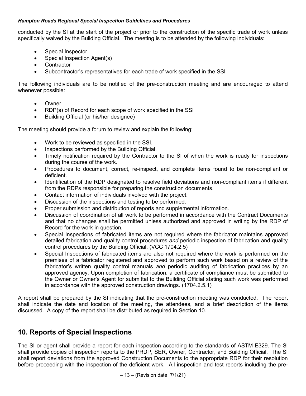conducted by the SI at the start of the project or prior to the construction of the specific trade of work unless specifically waived by the Building Official. The meeting is to be attended by the following individuals:

- Special Inspector
- Special Inspection Agent(s)
- Contractor
- Subcontractor's representatives for each trade of work specified in the SSI

The following individuals are to be notified of the pre-construction meeting and are encouraged to attend whenever possible:

- Owner
- RDP(s) of Record for each scope of work specified in the SSI
- Building Official (or his/her designee)

The meeting should provide a forum to review and explain the following:

- Work to be reviewed as specified in the SSI.
- Inspections performed by the Building Official.
- Timely notification required by the Contractor to the SI of when the work is ready for inspections during the course of the work.
- Procedures to document, correct, re-inspect, and complete items found to be non-compliant or deficient.
- Identification of the RDP designated to resolve field deviations and non-compliant items if different from the RDPs responsible for preparing the construction documents.
- Contact information of individuals involved with the project.
- Discussion of the inspections and testing to be performed.
- Proper submission and distribution of reports and supplemental information.
- Discussion of coordination of all work to be performed in accordance with the Contract Documents and that no changes shall be permitted unless authorized and approved in writing by the RDP of Record for the work in question.
- Special Inspections of fabricated items are not required where the fabricator maintains approved detailed fabrication and quality control procedures *and* periodic inspection of fabrication and quality control procedures by the Building Official. (VCC 1704.2.5)
- Special Inspections of fabricated items are also not required where the work is performed on the premises of a fabricator registered and approved to perform such work based on a review of the fabricator's written quality control manuals *and* periodic auditing of fabrication practices by an approved agency. Upon completion of fabrication, a certificate of compliance must be submitted to the Owner or Owner's Agent for submittal to the Building Official stating such work was performed in accordance with the approved construction drawings. (1704.2.5.1)

A report shall be prepared by the SI indicating that the pre-construction meeting was conducted. The report shall indicate the date and location of the meeting, the attendees, and a brief description of the items discussed. A copy of the report shall be distributed as required in Section 10.

## **10. Reports of Special Inspections**

The SI or agent shall provide a report for each inspection according to the standards of ASTM E329. The SI shall provide copies of inspection reports to the PRDP, SER, Owner, Contractor, and Building Official. The SI shall report deviations from the approved Construction Documents to the appropriate RDP for their resolution before proceeding with the inspection of the deficient work. All inspection and test reports including the pre-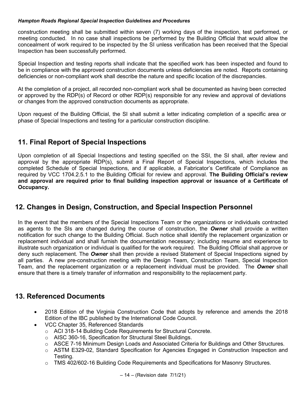construction meeting shall be submitted within seven (7) working days of the inspection, test performed, or meeting conducted. In no case shall inspections be performed by the Building Official that would allow the concealment of work required to be inspected by the SI unless verification has been received that the Special Inspection has been successfully performed.

Special Inspection and testing reports shall indicate that the specified work has been inspected and found to be in compliance with the approved construction documents unless deficiencies are noted. Reports containing deficiencies or non-compliant work shall describe the nature and specific location of the discrepancies.

At the completion of a project, all recorded non-compliant work shall be documented as having been corrected or approved by the RDP(s) of Record or other RDP(s) responsible for any review and approval of deviations or changes from the approved construction documents as appropriate.

Upon request of the Building Official, the SI shall submit a letter indicating completion of a specific area or phase of Special Inspections and testing for a particular construction discipline.

## **11. Final Report of Special Inspections**

Upon completion of all Special Inspections and testing specified on the SSI, the SI shall, after review and approval by the appropriate RDP(s), submit a Final Report of Special Inspections, which includes the completed Schedule of Special Inspections, and if applicable, a Fabricator's Certificate of Compliance as required by VCC 1704.2.5.1 to the Building Official for review and approval. **The Building Official's review and approval are required prior to final building inspection approval or issuance of a Certificate of Occupancy.**

## **12. Changes in Design, Construction, and Special Inspection Personnel**

In the event that the members of the Special Inspections Team or the organizations or individuals contracted as agents to the SIs are changed during the course of construction, the *Owner* shall provide a written notification for such change to the Building Official. Such notice shall identify the replacement organization or replacement individual and shall furnish the documentation necessary; including resume and experience to illustrate such organization or individual is qualified for the work required. The Building Official shall approve or deny such replacement. The *Owner* shall then provide a revised Statement of Special Inspections signed by all parties. A new pre-construction meeting with the Design Team, Construction Team, Special Inspection Team, and the replacement organization or a replacement individual must be provided. The *Owner* shall ensure that there is a timely transfer of information and responsibility to the replacement party.

## **13. Referenced Documents**

- 2018 Edition of the Virginia Construction Code that adopts by reference and amends the 2018 Edition of the IBC published by the International Code Council.
- VCC Chapter 35, Referenced Standards
	- o ACI 318-14 Building Code Requirements for Structural Concrete.
	- o AISC 360-16, Specification for Structural Steel Buildings.
	- o ASCE 7-16 Minimum Design Loads and Associated Criteria for Buildings and Other Structures.
	- o ASTM E329-02, Standard Specification for Agencies Engaged in Construction Inspection and Testing.
	- $\circ$  TMS 402/602-16 Building Code Requirements and Specifications for Masonry Structures.